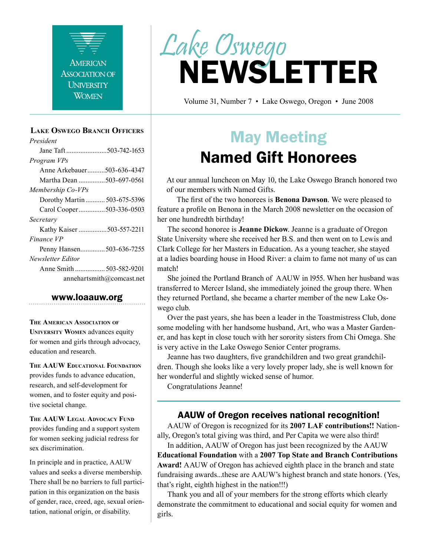

#### **Lake Oswego Branch Officers**

*President* Jane Taft .......................503-742-1653 *Program VPs* Anne Arkebauer..........503-636-4347 Martha Dean ...............503-697-0561 *Membership Co-VPs* Dorothy Martin ........... 503-675-5396 Carol Cooper...............503-336-0503 *Secretary* Kathy Kaiser ................503-557-2211 *Finance VP* Penny Hansen..............503-636-7255 *Newsletter Editor* Anne Smith ................. 503-582-9201 annehartsmith@comcast.net

#### www.loaauw.org

**The American Association of University Women** advances equity for women and girls through advocacy, education and research.

**The AAUW Educational Foundation** provides funds to advance education, research, and self-development for women, and to foster equity and positive societal change.

**The AAUW Legal Advocacy Fund** provides funding and a support system for women seeking judicial redress for sex discrimination.

In principle and in practice, AAUW values and seeks a diverse membership. There shall be no barriers to full participation in this organization on the basis of gender, race, creed, age, sexual orientation, national origin, or disability.



Volume 31, Number 7 • Lake Oswego, Oregon • June 2008

# May Meeting Named Gift Honorees

At our annual luncheon on May 10, the Lake Oswego Branch honored two of our members with Named Gifts.

The first of the two honorees is **Benona Dawson**. We were pleased to feature a profile on Benona in the March 2008 newsletter on the occasion of her one hundredth birthday!

The second honoree is **Jeanne Dickow**. Jeanne is a graduate of Oregon State University where she received her B.S. and then went on to Lewis and Clark College for her Masters in Education. As a young teacher, she stayed at a ladies boarding house in Hood River: a claim to fame not many of us can match!

She joined the Portland Branch of AAUW in l955. When her husband was transferred to Mercer Island, she immediately joined the group there. When they returned Portland, she became a charter member of the new Lake Oswego club.

Over the past years, she has been a leader in the Toastmistress Club, done some modeling with her handsome husband, Art, who was a Master Gardener, and has kept in close touch with her sorority sisters from Chi Omega. She is very active in the Lake Oswego Senior Center programs.

Jeanne has two daughters, five grandchildren and two great grandchildren. Though she looks like a very lovely proper lady, she is well known for her wonderful and slightly wicked sense of humor.

Congratulations Jeanne!

#### AAUW of Oregon receives national recognition!

AAUW of Oregon is recognized for its **2007 LAF contributions!!** Nationally, Oregon's total giving was third, and Per Capita we were also third!

In addition, AAUW of Oregon has just been recognized by the AAUW **Educational Foundation** with a **2007 Top State and Branch Contributions Award!** AAUW of Oregon has achieved eighth place in the branch and state fundraising awards...these are AAUW's highest branch and state honors. (Yes, that's right, eighth highest in the nation!!!)

Thank you and all of your members for the strong efforts which clearly demonstrate the commitment to educational and social equity for women and girls.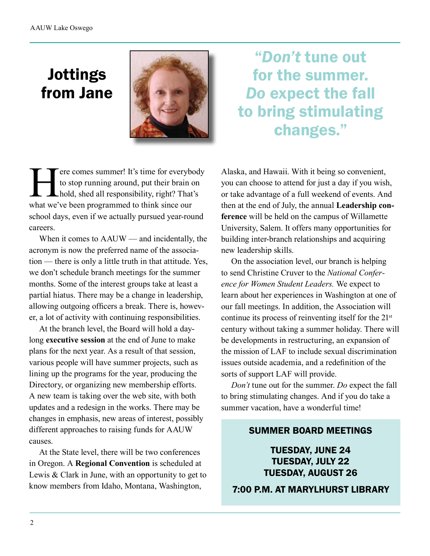# Jottings from Jane



There comes summer! It's time for everybody<br>to stop running around, put their brain on<br>hold, shed all responsibility, right? That's<br>what we've been programmed to think since our to stop running around, put their brain on hold, shed all responsibility, right? That's what we've been programmed to think since our school days, even if we actually pursued year-round careers.

When it comes to AAUW — and incidentally, the acronym is now the preferred name of the association — there is only a little truth in that attitude. Yes, we don't schedule branch meetings for the summer months. Some of the interest groups take at least a partial hiatus. There may be a change in leadership, allowing outgoing officers a break. There is, however, a lot of activity with continuing responsibilities.

At the branch level, the Board will hold a daylong **executive session** at the end of June to make plans for the next year. As a result of that session, various people will have summer projects, such as lining up the programs for the year, producing the Directory, or organizing new membership efforts. A new team is taking over the web site, with both updates and a redesign in the works. There may be changes in emphasis, new areas of interest, possibly different approaches to raising funds for AAUW causes.

At the State level, there will be two conferences in Oregon. A **Regional Convention** is scheduled at Lewis & Clark in June, with an opportunity to get to know members from Idaho, Montana, Washington,

"*Don't* tune out for the summer. *Do* expect the fall to bring stimulating changes."

Alaska, and Hawaii. With it being so convenient, you can choose to attend for just a day if you wish, or take advantage of a full weekend of events. And then at the end of July, the annual **Leadership conference** will be held on the campus of Willamette University, Salem. It offers many opportunities for building inter-branch relationships and acquiring new leadership skills.

On the association level, our branch is helping to send Christine Cruver to the *National Conference for Women Student Leaders.* We expect to learn about her experiences in Washington at one of our fall meetings. In addition, the Association will continue its process of reinventing itself for the 21<sup>st</sup> century without taking a summer holiday. There will be developments in restructuring, an expansion of the mission of LAF to include sexual discrimination issues outside academia, and a redefinition of the sorts of support LAF will provide.

*Don't* tune out for the summer. *Do* expect the fall to bring stimulating changes. And if you do take a summer vacation, have a wonderful time!

#### SUMMER BOARD MEETINGS

TUESDAY, JUNE 24 TUESDAY, JULY 22 TUESDAY, AUGUST 26

7:00 P.M. AT MARYLHURST LIBRARY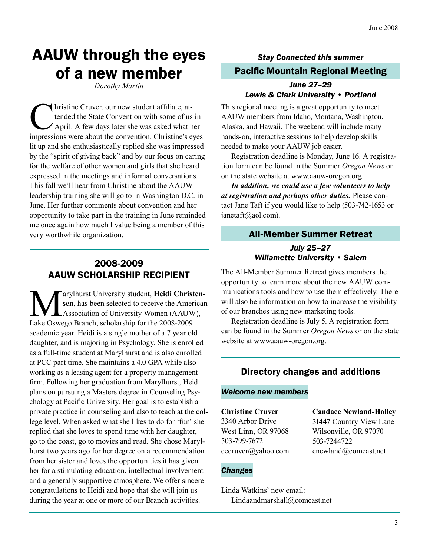## AAUW through the eyes of a new member

*Dorothy Martin*

In the Cruver, our new student affiliate, attended the State Convention with some of us<br>April. A few days later she was asked what he<br>impressions were about the convention. Christine's extended the State Convention with some of us in April. A few days later she was asked what her impressions were about the convention. Christine's eyes lit up and she enthusiastically replied she was impressed by the "spirit of giving back" and by our focus on caring for the welfare of other women and girls that she heard expressed in the meetings and informal conversations. This fall we'll hear from Christine about the AAUW leadership training she will go to in Washington D.C. in June. Her further comments about convention and her opportunity to take part in the training in June reminded me once again how much I value being a member of this very worthwhile organization.

#### 2008-2009 AAUW SCHOLARSHIP RECIPIENT

**Marylhurst University student, Heidi Christen-**<br> **Association of University Women (AAUW),**<br>
Lake Oswego Branch, scholarship for the 2008-2009 **sen**, has been selected to receive the American Association of University Women (AAUW), Lake Oswego Branch, scholarship for the 2008-2009 academic year. Heidi is a single mother of a 7 year old daughter, and is majoring in Psychology. She is enrolled as a full-time student at Marylhurst and is also enrolled at PCC part time. She maintains a 4.0 GPA while also working as a leasing agent for a property management firm. Following her graduation from Marylhurst, Heidi plans on pursuing a Masters degree in Counseling Psychology at Pacific University. Her goal is to establish a private practice in counseling and also to teach at the college level. When asked what she likes to do for 'fun' she replied that she loves to spend time with her daughter, go to the coast, go to movies and read. She chose Marylhurst two years ago for her degree on a recommendation from her sister and loves the opportunities it has given her for a stimulating education, intellectual involvement and a generally supportive atmosphere. We offer sincere congratulations to Heidi and hope that she will join us during the year at one or more of our Branch activities.

### *Stay Connected this summer* Pacific Mountain Regional Meeting

#### *June 27–29 Lewis & Clark University • Portland*

This regional meeting is a great opportunity to meet AAUW members from Idaho, Montana, Washington, Alaska, and Hawaii. The weekend will include many hands-on, interactive sessions to help develop skills needed to make your AAUW job easier.

Registration deadline is Monday, June 16. A registration form can be found in the Summer *Oregon News* or on the state website at www.aauw-oregon.org.

*In addition, we could use a few volunteers to help at registration and perhaps other duties.* Please contact Jane Taft if you would like to help (503-742-1653 or janetaft@aol.com).

#### All-Member Summer Retreat

#### *July 25–27 Willamette University • Salem*

The All-Member Summer Retreat gives members the opportunity to learn more about the new AAUW communications tools and how to use them effectively. There will also be information on how to increase the visibility of our branches using new marketing tools.

Registration deadline is July 5. A registration form can be found in the Summer *Oregon News* or on the state website at www.aauw-oregon.org.

#### Directory changes and additions

#### *Welcome new members*

**Christine Cruver** 3340 Arbor Drive West Linn, OR 97068 503-799-7672 cecruver@yahoo.com

**Candace Newland-Holley** 31447 Country View Lane Wilsonville, OR 97070 503-7244722 cnewland@comcast.net

#### *Changes*

Linda Watkins' new email: Lindaandmarshall@comcast.net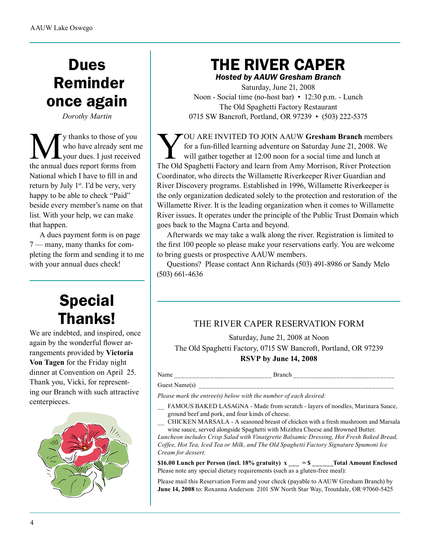# Dues Reminder once again

*Dorothy Martin*

**M** y thanks to those of you<br>who have already sent m<br>the annual dues report forms from who have already sent me your dues. I just received National which I have to fill in and return by July 1<sup>st</sup>. I'd be very, very happy to be able to check "Paid" beside every member's name on that list. With your help, we can make that happen.

A dues payment form is on page 7 — many, many thanks for completing the form and sending it to me with your annual dues check!

## Special Thanks!

We are indebted, and inspired, once again by the wonderful flower arrangements provided by **Victoria Von Tagen** for the Friday night dinner at Convention on April 25. Thank you, Vicki, for representing our Branch with such attractive centerpieces.



## THE RIVER CAPER

*Hosted by AAUW Gresham Branch*

Saturday, June 21, 2008 Noon - Social time (no-host bar) • 12:30 p.m. - Lunch The Old Spaghetti Factory Restaurant 0715 SW Bancroft, Portland, OR 97239 • (503) 222-5375

YOU ARE INVITED TO JOIN AAUW **Gresham Branch** members for a fun-filled learning adventure on Saturday June 21, 2008. We will gather together at 12:00 noon for a social time and lunch at The Old Spaghetti Factory and learn from Amy Morrison, River Protection Coordinator, who directs the Willamette Riverkeeper River Guardian and River Discovery programs. Established in 1996, Willamette Riverkeeper is the only organization dedicated solely to the protection and restoration of the Willamette River. It is the leading organization when it comes to Willamette River issues. It operates under the principle of the Public Trust Domain which goes back to the Magna Carta and beyond.

Afterwards we may take a walk along the river. Registration is limited to the first 100 people so please make your reservations early. You are welcome to bring guests or prospective AAUW members.

Questions? Please contact Ann Richards (503) 491-8986 or Sandy Melo (503) 661-4636

#### THE RIVER CAPER RESERVATION FORM

Saturday, June 21, 2008 at Noon The Old Spaghetti Factory, 0715 SW Bancroft, Portland, OR 97239 **RSVP by June 14, 2008**

Name \_\_\_\_\_\_\_\_\_\_\_\_\_\_\_\_\_\_\_\_\_\_\_\_\_\_\_ Branch \_\_\_\_\_\_\_\_\_\_\_\_\_\_\_\_\_\_\_\_\_\_\_\_\_\_\_\_ Guest Name(s)

*Please mark the entree(s) below with the number of each desired:*

- FAMOUS BAKED LASAGNA Made from scratch layers of noodles, Marinara Sauce, ground beef and pork, and four kinds of cheese.
- \_\_ CHICKEN MARSALA A seasoned breast of chicken with a fresh mushroom and Marsala wine sauce, served alongside Spaghetti with Mizithra Cheese and Browned Butter.

*Luncheon includes Crisp Salad with Vinaigrette Balsamic Dressing, Hot Fresh Baked Bread, Coffee, Hot Tea, Iced Tea or Milk, and The Old Spaghetti Factory Signature Spumoni Ice Cream for dessert.*

\$16.00 Lunch per Person (incl.  $18\%$  gratuity)  $x = $$  Total Amount Enclosed Please note any special dietary requirements (such as a gluten-free meal):

Please mail this Reservation Form and your check (payable to AAUW Gresham Branch) by **June 14, 2008** to: Roxanna Anderson 2101 SW North Star Way, Troutdale, OR 97060-5425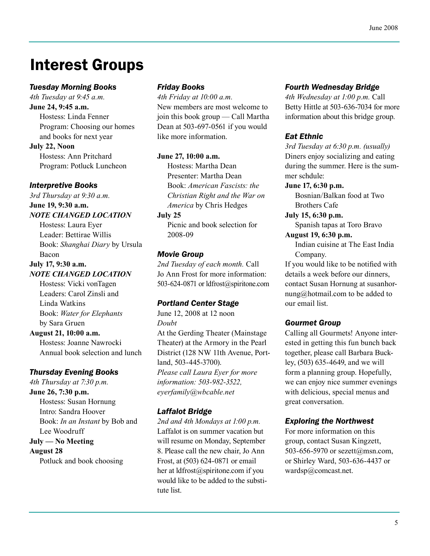## Interest Groups

#### *Tuesday Morning Books*

*4th Tuesday at 9:45 a.m.* **June 24, 9:45 a.m.**

Hostess: Linda Fenner Program: Choosing our homes and books for next year

**July 22, Noon** Hostess: Ann Pritchard Program: Potluck Luncheon

*Interpretive Books*

*3rd Thursday at 9:30 a.m.*

#### **June 19, 9:30 a.m.** *NOTE CHANGED LOCATION*

Hostess: Laura Eyer Leader: Bettirae Willis Book: *Shanghai Diary* by Ursula Bacon

#### **July 17, 9:30 a.m.** *NOTE CHANGED LOCATION*

Hostess: Vicki vonTagen Leaders: Carol Zinsli and Linda Watkins Book: *Water for Elephants* by Sara Gruen

#### **August 21, 10:00 a.m.**

Hostess: Joanne Nawrocki Annual book selection and lunch

#### *Thursday Evening Books*

*4th Thursday at 7:30 p.m.* **June 26, 7:30 p.m.** Hostess: Susan Hornung Intro: Sandra Hoover Book: *In an Instant* by Bob and Lee Woodruff

**July — No Meeting August 28**

Potluck and book choosing

#### *Friday Books*

*4th Friday at 10:00 a.m.* New members are most welcome to join this book group — Call Martha Dean at 503-697-0561 if you would like more information.

#### **June 27, 10:00 a.m.**

Hostess: Martha Dean Presenter: Martha Dean Book: *American Fascists: the Christian Right and the War on America* by Chris Hedges

#### **July 25**

Picnic and book selection for 2008-09

#### *Movie Group*

*2nd Tuesday of each month.* Call Jo Ann Frost for more information: 503-624-0871 or ldfrost@spiritone.com

#### *Portland Center Stage*

June 12, 2008 at 12 noon *Doubt* At the Gerding Theater (Mainstage Theater) at the Armory in the Pearl District (128 NW 11th Avenue, Portland, 503-445-3700). *Please call Laura Eyer for more information: 503-982-3522, eyerfamily@wbcable.net*

#### *Laffalot Bridge*

*2nd and 4th Mondays at 1:00 p.m.* Laffalot is on summer vacation but will resume on Monday, September 8. Please call the new chair, Jo Ann Frost, at (503) 624-0871 or email her at ldfrost@spiritone.com if you would like to be added to the substitute list.

#### *Fourth Wednesday Bridge*

*4th Wednesday at 1:00 p.m.* Call Betty Hittle at 503-636-7034 for more information about this bridge group.

#### *Eat Ethnic*

*3rd Tuesday at 6:30 p.m. (usually)* Diners enjoy socializing and eating during the summer. Here is the summer schdule:

#### **June 17, 6:30 p.m.**

Bosnian/Balkan food at Two Brothers Cafe

#### **July 15, 6:30 p.m.**

Spanish tapas at Toro Bravo

#### **August 19, 6:30 p.m.**

Indian cuisine at The East India Company.

If you would like to be notified with details a week before our dinners, contact Susan Hornung at susanhornung@hotmail.com to be added to our email list.

#### *Gourmet Group*

Calling all Gourmets! Anyone interested in getting this fun bunch back together, please call Barbara Buckley, (503) 635-4649, and we will form a planning group. Hopefully, we can enjoy nice summer evenings with delicious, special menus and great conversation.

#### *Exploring the Northwest*

For more information on this group, contact Susan Kingzett, 503-656-5970 or sezett@msn.com, or Shirley Ward, 503-636-4437 or wardsp@comcast.net.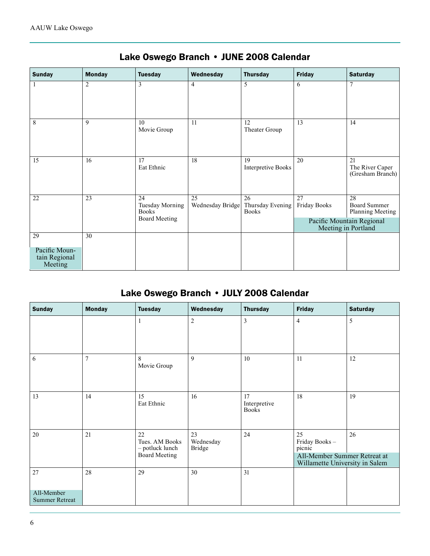| <b>Sunday</b>                                   | <b>Monday</b> | <b>Tuesday</b>                                                       | Wednesday              | <b>Thursday</b>                        | <b>Friday</b>                                    | <b>Saturday</b>                               |
|-------------------------------------------------|---------------|----------------------------------------------------------------------|------------------------|----------------------------------------|--------------------------------------------------|-----------------------------------------------|
|                                                 | 2             | 3                                                                    | $\overline{4}$         | 5                                      | 6                                                | 7                                             |
| 8                                               | 9             | 10<br>Movie Group                                                    | 11                     | 12<br>Theater Group                    | 13                                               | 14                                            |
| 15                                              | 16            | 17<br>Eat Ethnic                                                     | 18                     | 19<br><b>Interpretive Books</b>        | 20                                               | 21<br>The River Caper<br>(Gresham Branch)     |
| 22                                              | 23            | 24<br><b>Tuesday Morning</b><br><b>Books</b><br><b>Board Meeting</b> | 25<br>Wednesday Bridge | 26<br>Thursday Evening<br><b>Books</b> | 27<br><b>Friday Books</b>                        | 28<br><b>Board Summer</b><br>Planning Meeting |
|                                                 |               |                                                                      |                        |                                        | Pacific Mountain Regional<br>Meeting in Portland |                                               |
| 29<br>Pacific Moun-<br>tain Regional<br>Meeting | 30            |                                                                      |                        |                                        |                                                  |                                               |

## Lake Oswego Branch • JUNE 2008 Calendar

## Lake Oswego Branch • JULY 2008 Calendar

| <b>Sunday</b>                       | <b>Monday</b>  | <b>Tuesday</b>                                                  | Wednesday                        | <b>Thursday</b>                    | <b>Friday</b>                                                                                   | <b>Saturday</b> |
|-------------------------------------|----------------|-----------------------------------------------------------------|----------------------------------|------------------------------------|-------------------------------------------------------------------------------------------------|-----------------|
|                                     |                | 1                                                               | $\overline{c}$                   | 3                                  | $\overline{4}$                                                                                  | 5               |
| 6                                   | $\overline{7}$ | 8<br>Movie Group                                                | 9                                | 10                                 | 11                                                                                              | 12              |
| 13                                  | 14             | 15<br>Eat Ethnic                                                | 16                               | 17<br>Interpretive<br><b>Books</b> | 18                                                                                              | 19              |
| 20                                  | 21             | 22<br>Tues. AM Books<br>- potluck lunch<br><b>Board Meeting</b> | 23<br>Wednesday<br><b>Bridge</b> | 24                                 | 25<br>Friday Books-<br>picnic<br>All-Member Summer Retreat at<br>Willamette University in Salem | 26              |
| 27                                  | 28             | 29                                                              | 30                               | 31                                 |                                                                                                 |                 |
| All-Member<br><b>Summer Retreat</b> |                |                                                                 |                                  |                                    |                                                                                                 |                 |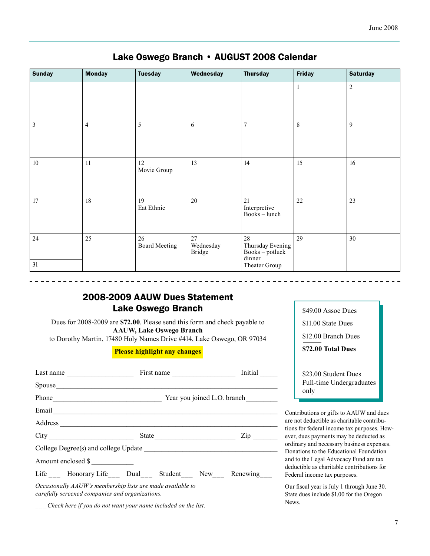| <b>Sunday</b>           | <b>Monday</b>  | <b>Tuesday</b>             | Wednesday                        | <b>Thursday</b>                                       | <b>Friday</b> | <b>Saturday</b> |
|-------------------------|----------------|----------------------------|----------------------------------|-------------------------------------------------------|---------------|-----------------|
|                         |                |                            |                                  |                                                       | 1             | $\overline{c}$  |
| $\overline{\mathbf{3}}$ | $\overline{4}$ | 5                          | 6                                | $\overline{7}$                                        | $\,8\,$       | 9               |
| $10\,$                  | 11             | 12<br>Movie Group          | 13                               | 14                                                    | 15            | 16              |
| 17                      | 18             | 19<br>Eat Ethnic           | 20                               | 21<br>Interpretive<br>Books – lunch                   | 22            | 23              |
| 24                      | 25             | 26<br><b>Board Meeting</b> | 27<br>Wednesday<br><b>Bridge</b> | 28<br>Thursday Evening<br>$Books - potluck$<br>dinner | 29            | 30              |
| 31                      |                |                            |                                  | Theater Group                                         |               |                 |

#### Lake Oswego Branch • AUGUST 2008 Calendar

#### 2008-2009 AAUW Dues Statement Lake Oswego Branch

Dues for 2008-2009 are **\$72.00**. Please send this form and check payable to **AAUW, Lake Oswego Branch** to Dorothy Martin, 17480 Holy Names Drive #414, Lake Oswego, OR 97034

**Please highlight any changes**

| Last name $\frac{1}{\sqrt{1-\frac{1}{2}} \cdot \frac{1}{\sqrt{1-\frac{1}{2}} \cdot \frac{1}{\sqrt{1-\frac{1}{2}} \cdot \frac{1}{\sqrt{1-\frac{1}{2}} \cdot \frac{1}{\sqrt{1-\frac{1}{2}} \cdot \frac{1}{\sqrt{1-\frac{1}{2}} \cdot \frac{1}{\sqrt{1-\frac{1}{2}} \cdot \frac{1}{\sqrt{1-\frac{1}{2}} \cdot \frac{1}{\sqrt{1-\frac{1}{2}} \cdot \frac{1}{\sqrt{1-\frac{1}{2}} \cdot \frac{1}{\sqrt{1-\frac{1}{2}} \cdot \frac{1}{\sqrt{1-\frac{$ |  |  |  |                     |
|-------------------------------------------------------------------------------------------------------------------------------------------------------------------------------------------------------------------------------------------------------------------------------------------------------------------------------------------------------------------------------------------------------------------------------------------------|--|--|--|---------------------|
| Spouse                                                                                                                                                                                                                                                                                                                                                                                                                                          |  |  |  |                     |
|                                                                                                                                                                                                                                                                                                                                                                                                                                                 |  |  |  |                     |
| Email <u>contract the contract of the contract of the contract of the contract of the contract of the contract of the contract of the contract of the contract of the contract of the contract of the contract of the contract o</u>                                                                                                                                                                                                            |  |  |  |                     |
|                                                                                                                                                                                                                                                                                                                                                                                                                                                 |  |  |  |                     |
| City                                                                                                                                                                                                                                                                                                                                                                                                                                            |  |  |  | $\mathsf{Zip} \_\_$ |
|                                                                                                                                                                                                                                                                                                                                                                                                                                                 |  |  |  |                     |
| Amount enclosed \$                                                                                                                                                                                                                                                                                                                                                                                                                              |  |  |  |                     |
| Life Honorary Life Dual Student New Renewing                                                                                                                                                                                                                                                                                                                                                                                                    |  |  |  |                     |
| Occasionally AAUW's membership lists are made available to<br>carefully screened companies and organizations.                                                                                                                                                                                                                                                                                                                                   |  |  |  |                     |

\$11.00 State Dues \$12.00 Branch Dues **\$72.00 Total Dues** \$23.00 Student Dues

\$49.00 Assoc Dues

Full-time Undergraduates only

Contributions or gifts to AAUW and dues are not deductible as charitable contributions for federal income tax purposes. However, dues payments may be deducted as ordinary and necessary business expenses. Donations to the Educational Foundation and to the Legal Advocacy Fund are tax deductible as charitable contributions for Federal income tax purposes.

Our fiscal year is July 1 through June 30. State dues include \$1.00 for the Oregon News.

*\_\_\_ Check here if you do not want your name included on the list.*